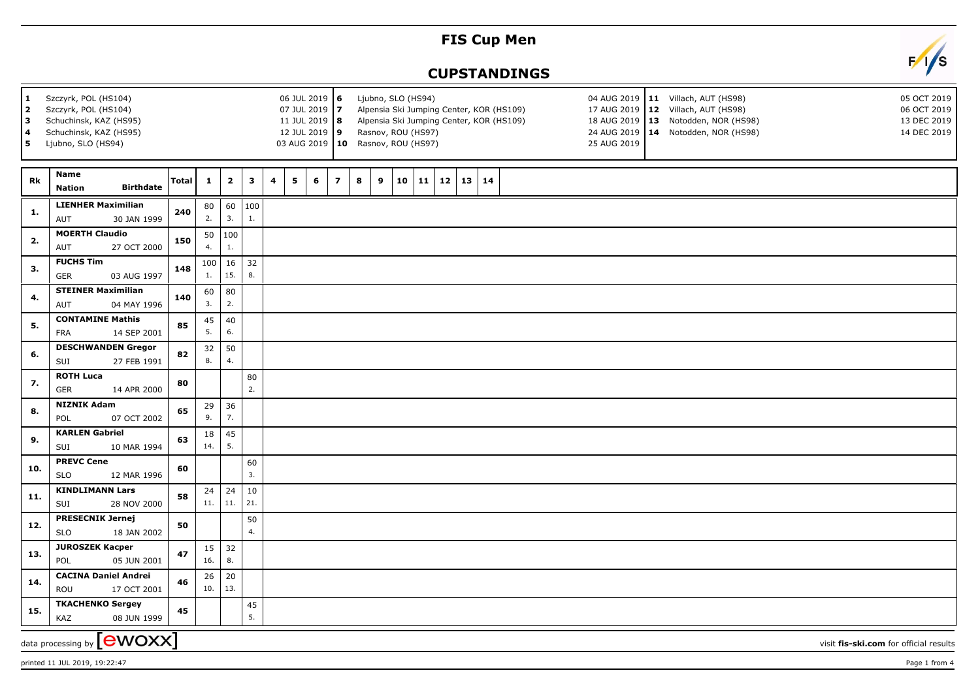## **FIS Cup Men**

## **CUPSTANDINGS**



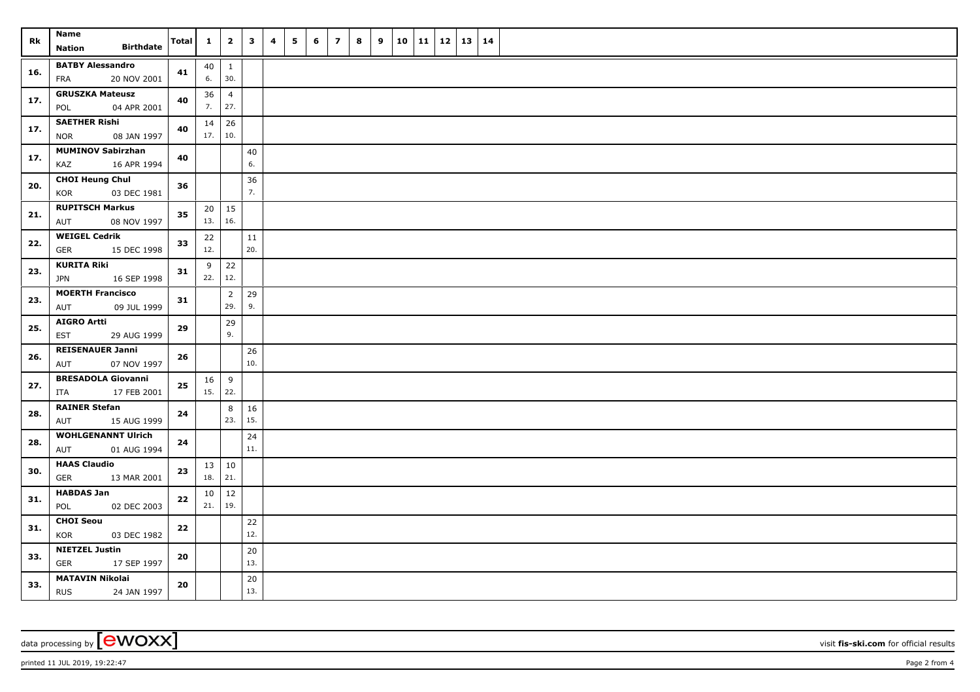| Rk  | Name<br><b>Birthdate</b><br><b>Nation</b>     | Total | $\mathbf{1}$      | $\overline{2}$ | $\mathbf{3}$ | 4 | 5      | 6 | $\overline{\mathbf{z}}$ | 8 | 9 | 10 | 11 | $12 \mid 13$ | 14 |  |  |  |
|-----|-----------------------------------------------|-------|-------------------|----------------|--------------|---|--------|---|-------------------------|---|---|----|----|--------------|----|--|--|--|
|     |                                               |       |                   |                |              |   |        |   |                         |   |   |    |    |              |    |  |  |  |
| 16. | <b>BATBY Alessandro</b><br>20 NOV 2001<br>FRA | 41    | $40 \mid 1$<br>6. | 30.            |              |   |        |   |                         |   |   |    |    |              |    |  |  |  |
|     | <b>GRUSZKA Mateusz</b>                        |       | 36                | $\overline{4}$ |              |   |        |   |                         |   |   |    |    |              |    |  |  |  |
| 17. | POL<br>04 APR 2001                            | 40    | 7.                | 27.            |              |   |        |   |                         |   |   |    |    |              |    |  |  |  |
|     | <b>SAETHER Rishi</b>                          |       | 14                | 26             |              |   |        |   |                         |   |   |    |    |              |    |  |  |  |
| 17. | <b>NOR</b><br>08 JAN 1997                     | 40    | 17.   10.         |                |              |   |        |   |                         |   |   |    |    |              |    |  |  |  |
| 17. | <b>MUMINOV Sabirzhan</b>                      | 40    |                   |                | 40           |   |        |   |                         |   |   |    |    |              |    |  |  |  |
|     | 16 APR 1994<br>KAZ                            |       |                   |                | 6.           |   |        |   |                         |   |   |    |    |              |    |  |  |  |
| 20. | <b>CHOI Heung Chul</b>                        | 36    |                   |                | 36           |   |        |   |                         |   |   |    |    |              |    |  |  |  |
|     | 03 DEC 1981<br>KOR                            |       |                   |                | 7.           |   |        |   |                         |   |   |    |    |              |    |  |  |  |
| 21. | <b>RUPITSCH Markus</b>                        | 35    |                   | $20 \mid 15$   |              |   |        |   |                         |   |   |    |    |              |    |  |  |  |
|     | 08 NOV 1997<br>AUT                            |       | 13.               | 16.            |              |   |        |   |                         |   |   |    |    |              |    |  |  |  |
| 22. | <b>WEIGEL Cedrik</b>                          |       |                   | 33             | 22           |   | $11\,$ |   |                         |   |   |    |    |              |    |  |  |  |
|     | GER<br>15 DEC 1998                            |       | 12.               |                | 20.          |   |        |   |                         |   |   |    |    |              |    |  |  |  |
| 23. | <b>KURITA Riki</b>                            | 31    | 9                 | 22             |              |   |        |   |                         |   |   |    |    |              |    |  |  |  |
|     | <b>JPN</b><br>16 SEP 1998                     |       | $22.$ 12.         |                |              |   |        |   |                         |   |   |    |    |              |    |  |  |  |
| 23. | <b>MOERTH Francisco</b>                       | 31    |                   | $\overline{2}$ | 29           |   |        |   |                         |   |   |    |    |              |    |  |  |  |
|     | 09 JUL 1999<br>AUT                            |       |                   | 29.            | 9.           |   |        |   |                         |   |   |    |    |              |    |  |  |  |
| 25. | <b>AIGRO Artti</b>                            | 29    |                   | 29             |              |   |        |   |                         |   |   |    |    |              |    |  |  |  |
|     | EST<br>29 AUG 1999                            |       |                   | 9.             |              |   |        |   |                         |   |   |    |    |              |    |  |  |  |
| 26. | <b>REISENAUER Janni</b><br>07 NOV 1997<br>AUT | 26    |                   |                | 26<br>10.    |   |        |   |                         |   |   |    |    |              |    |  |  |  |
|     | <b>BRESADOLA Giovanni</b>                     |       | $16 \mid 9$       |                |              |   |        |   |                         |   |   |    |    |              |    |  |  |  |
| 27. | 17 FEB 2001<br>ITA                            | 25    | $15.$ 22.         |                |              |   |        |   |                         |   |   |    |    |              |    |  |  |  |
|     | <b>RAINER Stefan</b>                          |       |                   | 8              | 16           |   |        |   |                         |   |   |    |    |              |    |  |  |  |
| 28. | AUT<br>15 AUG 1999                            | 24    |                   | 23.            | 15.          |   |        |   |                         |   |   |    |    |              |    |  |  |  |
|     | <b>WOHLGENANNT Ulrich</b>                     |       |                   |                | 24           |   |        |   |                         |   |   |    |    |              |    |  |  |  |
| 28. | AUT<br>01 AUG 1994                            | 24    |                   |                | 11.          |   |        |   |                         |   |   |    |    |              |    |  |  |  |
|     | <b>HAAS Claudio</b>                           |       | 13 10             |                |              |   |        |   |                         |   |   |    |    |              |    |  |  |  |
| 30. | GER<br>13 MAR 2001                            | 23    | 18.   21.         |                |              |   |        |   |                         |   |   |    |    |              |    |  |  |  |
|     | <b>HABDAS Jan</b>                             |       | $10 \mid 12$      |                |              |   |        |   |                         |   |   |    |    |              |    |  |  |  |
| 31. | 02 DEC 2003<br>POL                            | 22    | 21.               | 19.            |              |   |        |   |                         |   |   |    |    |              |    |  |  |  |
|     | <b>CHOI Seou</b>                              |       |                   |                | $22\,$       |   |        |   |                         |   |   |    |    |              |    |  |  |  |
| 31. | KOR<br>03 DEC 1982                            | 22    |                   |                | 12.          |   |        |   |                         |   |   |    |    |              |    |  |  |  |
|     | <b>NIETZEL Justin</b>                         |       |                   |                | 20           |   |        |   |                         |   |   |    |    |              |    |  |  |  |
| 33. | <b>GER</b><br>17 SEP 1997                     | 20    |                   |                | 13.          |   |        |   |                         |   |   |    |    |              |    |  |  |  |
| 33. | <b>MATAVIN Nikolai</b>                        | 20    |                   |                | 20           |   |        |   |                         |   |   |    |    |              |    |  |  |  |
|     | <b>RUS</b><br>24 JAN 1997                     |       |                   |                | 13.          |   |        |   |                         |   |   |    |    |              |    |  |  |  |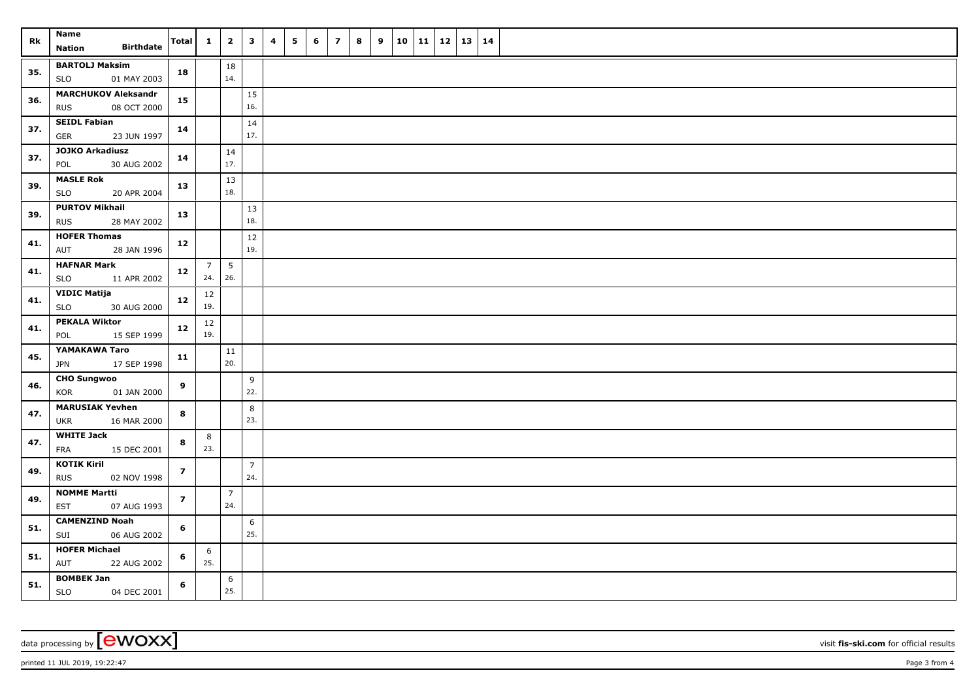| Rk  | Name<br><b>Birthdate</b><br>Nation                      | Total          | $1 \vert$             | $\overline{\mathbf{2}}$ | $\overline{\mathbf{3}}$ | $\overline{\mathbf{4}}$ | 5 | 6 | $\overline{z}$ | 8 | 9 | $10$   11   12   13   14 |  |  |
|-----|---------------------------------------------------------|----------------|-----------------------|-------------------------|-------------------------|-------------------------|---|---|----------------|---|---|--------------------------|--|--|
| 35. | <b>BARTOLJ Maksim</b><br><b>SLO</b><br>01 MAY 2003      | 18             |                       | 18<br>14.               |                         |                         |   |   |                |   |   |                          |  |  |
| 36. | <b>MARCHUKOV Aleksandr</b><br><b>RUS</b><br>08 OCT 2000 | 15             |                       |                         | 15<br>16.               |                         |   |   |                |   |   |                          |  |  |
| 37. | <b>SEIDL Fabian</b><br><b>GER</b><br>23 JUN 1997        | 14             |                       |                         | 14<br>17.               |                         |   |   |                |   |   |                          |  |  |
| 37. | <b>JOJKO Arkadiusz</b><br>POL<br>30 AUG 2002            | 14             |                       | 14<br>17.               |                         |                         |   |   |                |   |   |                          |  |  |
| 39. | <b>MASLE Rok</b><br>20 APR 2004<br><b>SLO</b>           | 13             |                       | 13<br>18.               |                         |                         |   |   |                |   |   |                          |  |  |
| 39. | <b>PURTOV Mikhail</b><br>28 MAY 2002<br><b>RUS</b>      | 13             |                       |                         | 13<br>18.               |                         |   |   |                |   |   |                          |  |  |
| 41. | <b>HOFER Thomas</b><br>AUT<br>28 JAN 1996               | 12             |                       |                         | 12<br>19.               |                         |   |   |                |   |   |                          |  |  |
| 41. | <b>HAFNAR Mark</b><br><b>SLO</b><br>11 APR 2002         | 12             | $\overline{7}$<br>24. | $5\phantom{.0}$<br>26.  |                         |                         |   |   |                |   |   |                          |  |  |
| 41. | <b>VIDIC Matija</b><br><b>SLO</b><br>30 AUG 2000        | 12             | 12<br>19.             |                         |                         |                         |   |   |                |   |   |                          |  |  |
| 41. | <b>PEKALA Wiktor</b><br>15 SEP 1999<br>POL              | 12             | 12<br>19.             |                         |                         |                         |   |   |                |   |   |                          |  |  |
| 45. | YAMAKAWA Taro<br>JPN 17 SEP 1998                        | 11             |                       | 11<br>20.               |                         |                         |   |   |                |   |   |                          |  |  |
| 46. | <b>CHO Sungwoo</b><br>01 JAN 2000<br><b>KOR</b>         | 9              |                       |                         | 9<br>22.                |                         |   |   |                |   |   |                          |  |  |
| 47. | <b>MARUSIAK Yevhen</b><br>16 MAR 2000<br>UKR            | 8              |                       |                         | 8<br>23.                |                         |   |   |                |   |   |                          |  |  |
| 47. | <b>WHITE Jack</b><br>FRA<br>15 DEC 2001                 | 8              | 8<br>23.              |                         |                         |                         |   |   |                |   |   |                          |  |  |
| 49. | <b>KOTIK Kiril</b><br><b>RUS</b><br>02 NOV 1998         | $\overline{z}$ |                       |                         | $\overline{7}$<br>24.   |                         |   |   |                |   |   |                          |  |  |
| 49. | <b>NOMME Martti</b><br><b>EST</b><br>07 AUG 1993        | $\overline{z}$ |                       | $\overline{7}$<br>24.   |                         |                         |   |   |                |   |   |                          |  |  |
| 51. | <b>CAMENZIND Noah</b><br>06 AUG 2002<br>SUI             | 6              |                       |                         | 6<br>25.                |                         |   |   |                |   |   |                          |  |  |
| 51. | <b>HOFER Michael</b><br><b>AUT</b><br>22 AUG 2002       | 6              | 6<br>25.              |                         |                         |                         |   |   |                |   |   |                          |  |  |
| 51. | <b>BOMBEK Jan</b><br>04 DEC 2001<br><b>SLO</b>          | 6              |                       | 6<br>25.                |                         |                         |   |   |                |   |   |                          |  |  |

data processing by **CWOXX** visit **fis-ski.com** for official results

printed 11 JUL 2019, 19:22:47 Page 3 from 4